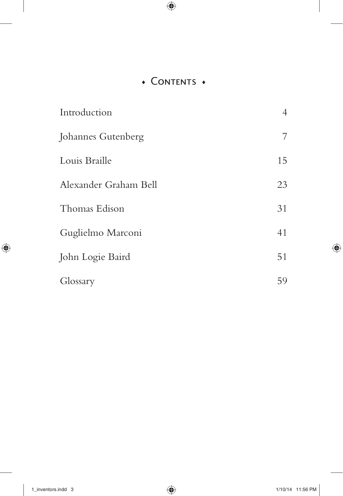## • CONTENTS •

| Introduction          | $\overline{4}$ |
|-----------------------|----------------|
| Johannes Gutenberg    | 7              |
| Louis Braille         | 15             |
| Alexander Graham Bell | 23             |
| Thomas Edison         | 31             |
| Guglielmo Marconi     | 41             |
| John Logie Baird      | 51             |
| Glossary              | 59             |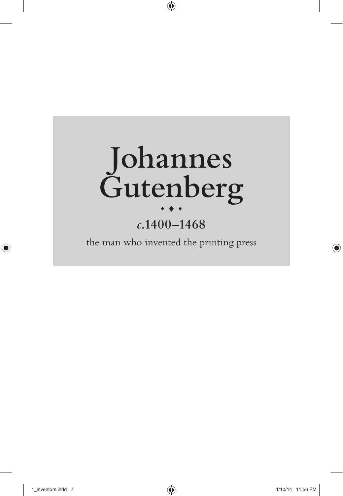

# *c***.1400–1468**

the man who invented the printing press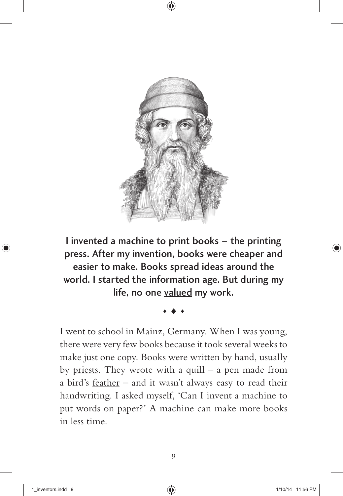

I invented a machine to print books – the printing press. After my invention, books were cheaper and easier to make. Books spread ideas around the world. I started the information age. But during my life, no one valued my work.

I went to school in Mainz, Germany. When I was young, there were very few books because it took several weeks to make just one copy. Books were written by hand, usually by priests. They wrote with a quill  $-$  a pen made from a bird's feather – and it wasn't always easy to read their handwriting. I asked myself, 'Can I invent a machine to put words on paper?' A machine can make more books in less time.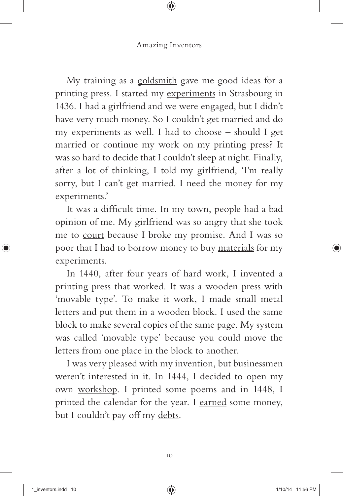My training as a goldsmith gave me good ideas for a printing press. I started my experiments in Strasbourg in 1436. I had a girlfriend and we were engaged, but I didn't have very much money. So I couldn't get married and do my experiments as well. I had to choose – should I get married or continue my work on my printing press? It was so hard to decide that I couldn't sleep at night. Finally, after a lot of thinking, I told my girlfriend, 'I'm really sorry, but I can't get married. I need the money for my experiments.'

It was a difficult time. In my town, people had a bad opinion of me. My girlfriend was so angry that she took me to court because I broke my promise. And I was so poor that I had to borrow money to buy materials for my experiments.

In 1440, after four years of hard work, I invented a printing press that worked. It was a wooden press with 'movable type'. To make it work, I made small metal letters and put them in a wooden block. I used the same block to make several copies of the same page. My system was called 'movable type' because you could move the letters from one place in the block to another.

I was very pleased with my invention, but businessmen weren't interested in it. In 1444, I decided to open my own workshop. I printed some poems and in 1448, I printed the calendar for the year. I earned some money, but I couldn't pay off my debts.

10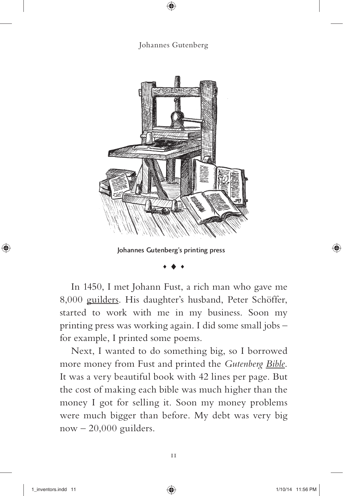### Johannes Gutenberg



#### Johannes Gutenberg's printing press

In 1450, I met Johann Fust, a rich man who gave me 8,000 guilders. His daughter's husband, Peter Schöffer, started to work with me in my business. Soon my printing press was working again. I did some small jobs – for example, I printed some poems.

Next, I wanted to do something big, so I borrowed more money from Fust and printed the *Gutenberg Bible*. It was a very beautiful book with 42 lines per page. But the cost of making each bible was much higher than the money I got for selling it. Soon my money problems were much bigger than before. My debt was very big  $now - 20,000$  guilders.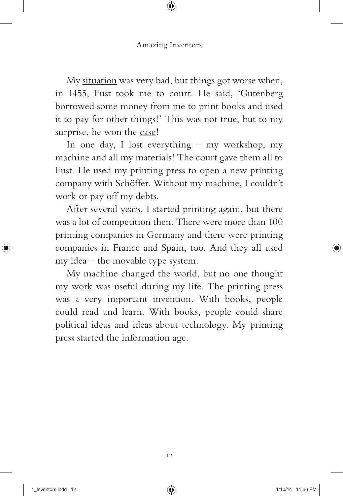My situation was very bad, but things got worse when, in 1455, Fust took me to court. He said, 'Gutenberg borrowed some money from me to print books and used it to pay for other things!' This was not true, but to my surprise, he won the case!

In one day, I lost everything – my workshop, my machine and all my materials! The court gave them all to Fust. He used my printing press to open a new printing company with Schöffer. Without my machine, I couldn't work or pay off my debts.

After several years, I started printing again, but there was a lot of competition then. There were more than 100 printing companies in Germany and there were printing companies in France and Spain, too. And they all used my idea – the movable type system.

My machine changed the world, but no one thought my work was useful during my life. The printing press was a very important invention. With books, people could read and learn. With books, people could share political ideas and ideas about technology. My printing press started the information age.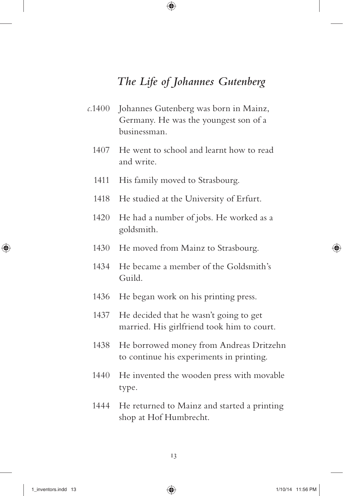## *The Life of Johannes Gutenberg*

- *c.*1400 Johannes Gutenberg was born in Mainz, Germany. He was the youngest son of a businessman.
	- 1407 He went to school and learnt how to read and write.
	- 1411 His family moved to Strasbourg.
	- 1418 He studied at the University of Erfurt.
	- 1420 He had a number of jobs. He worked as a goldsmith.
	- 1430 He moved from Mainz to Strasbourg.
	- 1434 He became a member of the Goldsmith's Guild.
	- 1436 He began work on his printing press.
	- 1437 He decided that he wasn't going to get married. His girlfriend took him to court.
	- 1438 He borrowed money from Andreas Dritzehn to continue his experiments in printing.
	- 1440 He invented the wooden press with movable type.
	- 1444 He returned to Mainz and started a printing shop at Hof Humbrecht.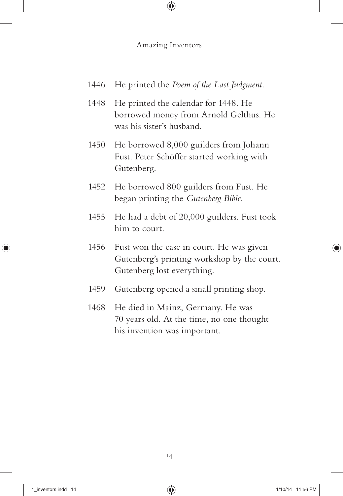- 1446 He printed the *Poem of the Last Judgment*.
- 1448 He printed the calendar for 1448. He borrowed money from Arnold Gelthus. He was his sister's husband.
- 1450 He borrowed 8,000 guilders from Johann Fust. Peter Schöffer started working with Gutenberg.
- 1452 He borrowed 800 guilders from Fust. He began printing the *Gutenberg Bible*.
- 1455 He had a debt of 20,000 guilders. Fust took him to court.
- 1456 Fust won the case in court. He was given Gutenberg's printing workshop by the court. Gutenberg lost everything.
- 1459 Gutenberg opened a small printing shop.
- 1468 He died in Mainz, Germany. He was 70 years old. At the time, no one thought his invention was important.